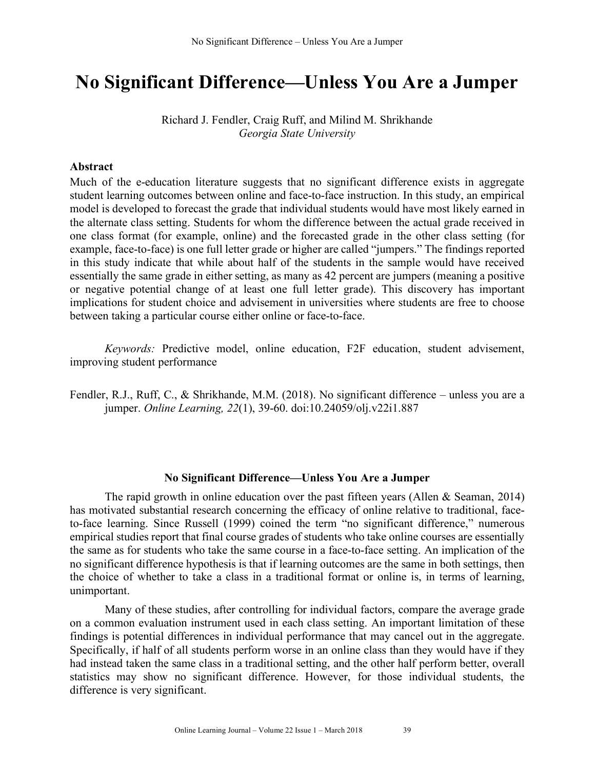# **No Significant Difference—Unless You Are a Jumper**

Richard J. Fendler, Craig Ruff, and Milind M. Shrikhande *Georgia State University*

### **Abstract**

Much of the e-education literature suggests that no significant difference exists in aggregate student learning outcomes between online and face-to-face instruction. In this study, an empirical model is developed to forecast the grade that individual students would have most likely earned in the alternate class setting. Students for whom the difference between the actual grade received in one class format (for example, online) and the forecasted grade in the other class setting (for example, face-to-face) is one full letter grade or higher are called "jumpers." The findings reported in this study indicate that while about half of the students in the sample would have received essentially the same grade in either setting, as many as 42 percent are jumpers (meaning a positive or negative potential change of at least one full letter grade). This discovery has important implications for student choice and advisement in universities where students are free to choose between taking a particular course either online or face-to-face.

*Keywords:* Predictive model, online education, F2F education, student advisement, improving student performance

Fendler, R.J., Ruff, C., & Shrikhande, M.M. (2018). No significant difference – unless you are a jumper. *Online Learning, 22*(1), 39-60. doi:10.24059/olj.v22i1.887

# **No Significant Difference—Unless You Are a Jumper**

The rapid growth in online education over the past fifteen years (Allen  $& Seaman, 2014$ ) has motivated substantial research concerning the efficacy of online relative to traditional, faceto-face learning. Since Russell (1999) coined the term "no significant difference," numerous empirical studies report that final course grades of students who take online courses are essentially the same as for students who take the same course in a face-to-face setting. An implication of the no significant difference hypothesis is that if learning outcomes are the same in both settings, then the choice of whether to take a class in a traditional format or online is, in terms of learning, unimportant.

Many of these studies, after controlling for individual factors, compare the average grade on a common evaluation instrument used in each class setting. An important limitation of these findings is potential differences in individual performance that may cancel out in the aggregate. Specifically, if half of all students perform worse in an online class than they would have if they had instead taken the same class in a traditional setting, and the other half perform better, overall statistics may show no significant difference. However, for those individual students, the difference is very significant.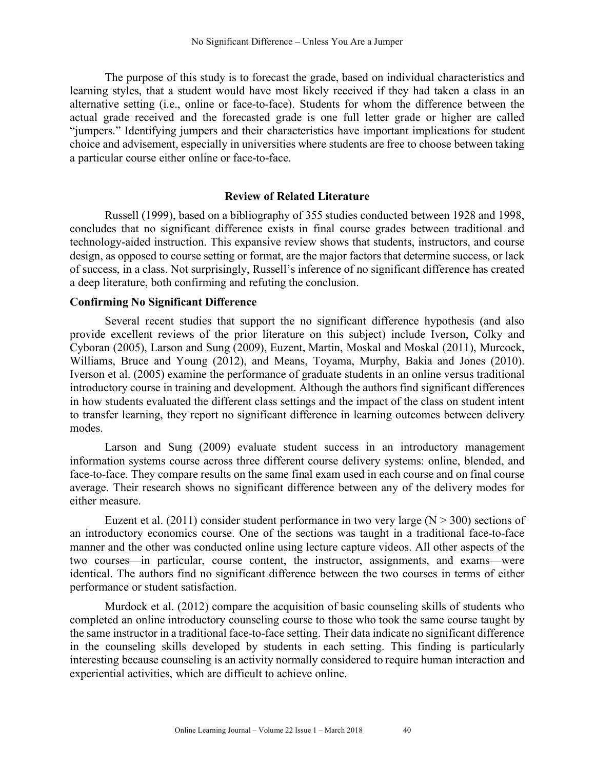The purpose of this study is to forecast the grade, based on individual characteristics and learning styles, that a student would have most likely received if they had taken a class in an alternative setting (i.e., online or face-to-face). Students for whom the difference between the actual grade received and the forecasted grade is one full letter grade or higher are called "jumpers." Identifying jumpers and their characteristics have important implications for student choice and advisement, especially in universities where students are free to choose between taking a particular course either online or face-to-face.

# **Review of Related Literature**

Russell (1999), based on a bibliography of 355 studies conducted between 1928 and 1998, concludes that no significant difference exists in final course grades between traditional and technology-aided instruction. This expansive review shows that students, instructors, and course design, as opposed to course setting or format, are the major factors that determine success, or lack of success, in a class. Not surprisingly, Russell's inference of no significant difference has created a deep literature, both confirming and refuting the conclusion.

# **Confirming No Significant Difference**

Several recent studies that support the no significant difference hypothesis (and also provide excellent reviews of the prior literature on this subject) include Iverson, Colky and Cyboran (2005), Larson and Sung (2009), Euzent, Martin, Moskal and Moskal (2011), Murcock, Williams, Bruce and Young (2012), and Means, Toyama, Murphy, Bakia and Jones (2010). Iverson et al. (2005) examine the performance of graduate students in an online versus traditional introductory course in training and development. Although the authors find significant differences in how students evaluated the different class settings and the impact of the class on student intent to transfer learning, they report no significant difference in learning outcomes between delivery modes.

Larson and Sung (2009) evaluate student success in an introductory management information systems course across three different course delivery systems: online, blended, and face-to-face. They compare results on the same final exam used in each course and on final course average. Their research shows no significant difference between any of the delivery modes for either measure.

Euzent et al. (2011) consider student performance in two very large ( $N > 300$ ) sections of an introductory economics course. One of the sections was taught in a traditional face-to-face manner and the other was conducted online using lecture capture videos. All other aspects of the two courses—in particular, course content, the instructor, assignments, and exams—were identical. The authors find no significant difference between the two courses in terms of either performance or student satisfaction.

Murdock et al. (2012) compare the acquisition of basic counseling skills of students who completed an online introductory counseling course to those who took the same course taught by the same instructor in a traditional face-to-face setting. Their data indicate no significant difference in the counseling skills developed by students in each setting. This finding is particularly interesting because counseling is an activity normally considered to require human interaction and experiential activities, which are difficult to achieve online.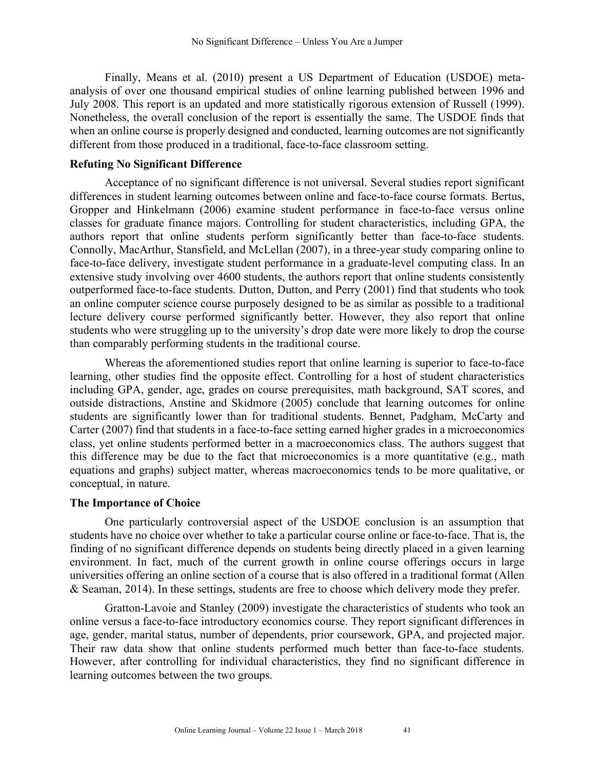Finally, Means et al. (2010) present a US Department of Education (USDOE) metaanalysis of over one thousand empirical studies of online learning published between 1996 and July 2008. This report is an updated and more statistically rigorous extension of Russell (1999). Nonetheless, the overall conclusion of the report is essentially the same. The USDOE finds that when an online course is properly designed and conducted, learning outcomes are not significantly different from those produced in a traditional, face-to-face classroom setting.

# **Refuting No Significant Difference**

Acceptance of no significant difference is not universal. Several studies report significant differences in student learning outcomes between online and face-to-face course formats. Bertus, Gropper and Hinkelmann (2006) examine student performance in face-to-face versus online classes for graduate finance majors. Controlling for student characteristics, including GPA, the authors report that online students perform significantly better than face-to-face students. Connolly, MacArthur, Stansfield, and McLellan (2007), in a three-year study comparing online to face-to-face delivery, investigate student performance in a graduate-level computing class. In an extensive study involving over 4600 students, the authors report that online students consistently outperformed face-to-face students. Dutton, Dutton, and Perry (2001) find that students who took an online computer science course purposely designed to be as similar as possible to a traditional lecture delivery course performed significantly better. However, they also report that online students who were struggling up to the university's drop date were more likely to drop the course than comparably performing students in the traditional course.

Whereas the aforementioned studies report that online learning is superior to face-to-face learning, other studies find the opposite effect. Controlling for a host of student characteristics including GPA, gender, age, grades on course prerequisites, math background, SAT scores, and outside distractions, Anstine and Skidmore (2005) conclude that learning outcomes for online students are significantly lower than for traditional students. Bennet, Padgham, McCarty and Carter (2007) find that students in a face-to-face setting earned higher grades in a microeconomics class, yet online students performed better in a macroeconomics class. The authors suggest that this difference may be due to the fact that microeconomics is a more quantitative (e.g., math equations and graphs) subject matter, whereas macroeconomics tends to be more qualitative, or conceptual, in nature.

#### **The Importance of Choice**

One particularly controversial aspect of the USDOE conclusion is an assumption that students have no choice over whether to take a particular course online or face-to-face. That is, the finding of no significant difference depends on students being directly placed in a given learning environment. In fact, much of the current growth in online course offerings occurs in large universities offering an online section of a course that is also offered in a traditional format (Allen & Seaman, 2014). In these settings, students are free to choose which delivery mode they prefer.

Gratton-Lavoie and Stanley (2009) investigate the characteristics of students who took an online versus a face-to-face introductory economics course. They report significant differences in age, gender, marital status, number of dependents, prior coursework, GPA, and projected major. Their raw data show that online students performed much better than face-to-face students. However, after controlling for individual characteristics, they find no significant difference in learning outcomes between the two groups.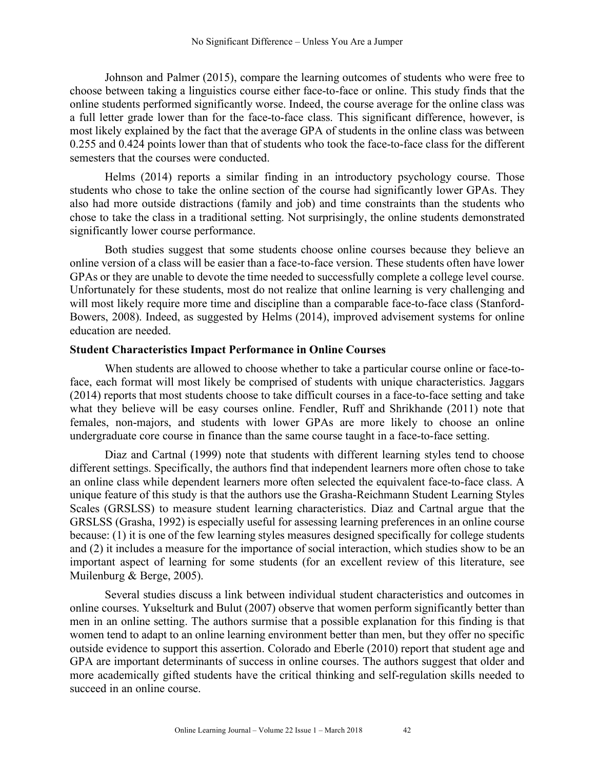Johnson and Palmer (2015), compare the learning outcomes of students who were free to choose between taking a linguistics course either face-to-face or online. This study finds that the online students performed significantly worse. Indeed, the course average for the online class was a full letter grade lower than for the face-to-face class. This significant difference, however, is most likely explained by the fact that the average GPA of students in the online class was between 0.255 and 0.424 points lower than that of students who took the face-to-face class for the different semesters that the courses were conducted.

Helms (2014) reports a similar finding in an introductory psychology course. Those students who chose to take the online section of the course had significantly lower GPAs. They also had more outside distractions (family and job) and time constraints than the students who chose to take the class in a traditional setting. Not surprisingly, the online students demonstrated significantly lower course performance.

Both studies suggest that some students choose online courses because they believe an online version of a class will be easier than a face-to-face version. These students often have lower GPAs or they are unable to devote the time needed to successfully complete a college level course. Unfortunately for these students, most do not realize that online learning is very challenging and will most likely require more time and discipline than a comparable face-to-face class (Stanford-Bowers, 2008). Indeed, as suggested by Helms (2014), improved advisement systems for online education are needed.

## **Student Characteristics Impact Performance in Online Courses**

When students are allowed to choose whether to take a particular course online or face-toface, each format will most likely be comprised of students with unique characteristics. Jaggars (2014) reports that most students choose to take difficult courses in a face-to-face setting and take what they believe will be easy courses online. Fendler, Ruff and Shrikhande (2011) note that females, non-majors, and students with lower GPAs are more likely to choose an online undergraduate core course in finance than the same course taught in a face-to-face setting.

Diaz and Cartnal (1999) note that students with different learning styles tend to choose different settings. Specifically, the authors find that independent learners more often chose to take an online class while dependent learners more often selected the equivalent face-to-face class. A unique feature of this study is that the authors use the Grasha-Reichmann Student Learning Styles Scales (GRSLSS) to measure student learning characteristics. Diaz and Cartnal argue that the GRSLSS (Grasha, 1992) is especially useful for assessing learning preferences in an online course because: (1) it is one of the few learning styles measures designed specifically for college students and (2) it includes a measure for the importance of social interaction, which studies show to be an important aspect of learning for some students (for an excellent review of this literature, see Muilenburg & Berge, 2005).

Several studies discuss a link between individual student characteristics and outcomes in online courses. Yukselturk and Bulut (2007) observe that women perform significantly better than men in an online setting. The authors surmise that a possible explanation for this finding is that women tend to adapt to an online learning environment better than men, but they offer no specific outside evidence to support this assertion. Colorado and Eberle (2010) report that student age and GPA are important determinants of success in online courses. The authors suggest that older and more academically gifted students have the critical thinking and self-regulation skills needed to succeed in an online course.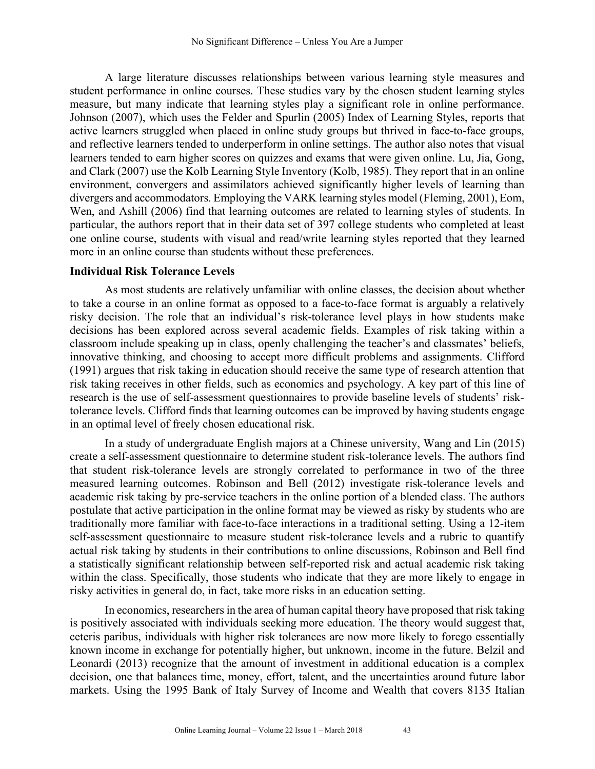A large literature discusses relationships between various learning style measures and student performance in online courses. These studies vary by the chosen student learning styles measure, but many indicate that learning styles play a significant role in online performance. Johnson (2007), which uses the Felder and Spurlin (2005) Index of Learning Styles, reports that active learners struggled when placed in online study groups but thrived in face-to-face groups, and reflective learners tended to underperform in online settings. The author also notes that visual learners tended to earn higher scores on quizzes and exams that were given online. Lu, Jia, Gong, and Clark (2007) use the Kolb Learning Style Inventory (Kolb, 1985). They report that in an online environment, convergers and assimilators achieved significantly higher levels of learning than divergers and accommodators. Employing the VARK learning styles model (Fleming, 2001), Eom, Wen, and Ashill (2006) find that learning outcomes are related to learning styles of students. In particular, the authors report that in their data set of 397 college students who completed at least one online course, students with visual and read/write learning styles reported that they learned more in an online course than students without these preferences.

# **Individual Risk Tolerance Levels**

As most students are relatively unfamiliar with online classes, the decision about whether to take a course in an online format as opposed to a face-to-face format is arguably a relatively risky decision. The role that an individual's risk-tolerance level plays in how students make decisions has been explored across several academic fields. Examples of risk taking within a classroom include speaking up in class, openly challenging the teacher's and classmates' beliefs, innovative thinking, and choosing to accept more difficult problems and assignments. Clifford (1991) argues that risk taking in education should receive the same type of research attention that risk taking receives in other fields, such as economics and psychology. A key part of this line of research is the use of self-assessment questionnaires to provide baseline levels of students' risktolerance levels. Clifford finds that learning outcomes can be improved by having students engage in an optimal level of freely chosen educational risk.

In a study of undergraduate English majors at a Chinese university, Wang and Lin (2015) create a self-assessment questionnaire to determine student risk-tolerance levels. The authors find that student risk-tolerance levels are strongly correlated to performance in two of the three measured learning outcomes. Robinson and Bell (2012) investigate risk-tolerance levels and academic risk taking by pre-service teachers in the online portion of a blended class. The authors postulate that active participation in the online format may be viewed as risky by students who are traditionally more familiar with face-to-face interactions in a traditional setting. Using a 12-item self-assessment questionnaire to measure student risk-tolerance levels and a rubric to quantify actual risk taking by students in their contributions to online discussions, Robinson and Bell find a statistically significant relationship between self-reported risk and actual academic risk taking within the class. Specifically, those students who indicate that they are more likely to engage in risky activities in general do, in fact, take more risks in an education setting.

In economics, researchers in the area of human capital theory have proposed that risk taking is positively associated with individuals seeking more education. The theory would suggest that, ceteris paribus, individuals with higher risk tolerances are now more likely to forego essentially known income in exchange for potentially higher, but unknown, income in the future. Belzil and Leonardi (2013) recognize that the amount of investment in additional education is a complex decision, one that balances time, money, effort, talent, and the uncertainties around future labor markets. Using the 1995 Bank of Italy Survey of Income and Wealth that covers 8135 Italian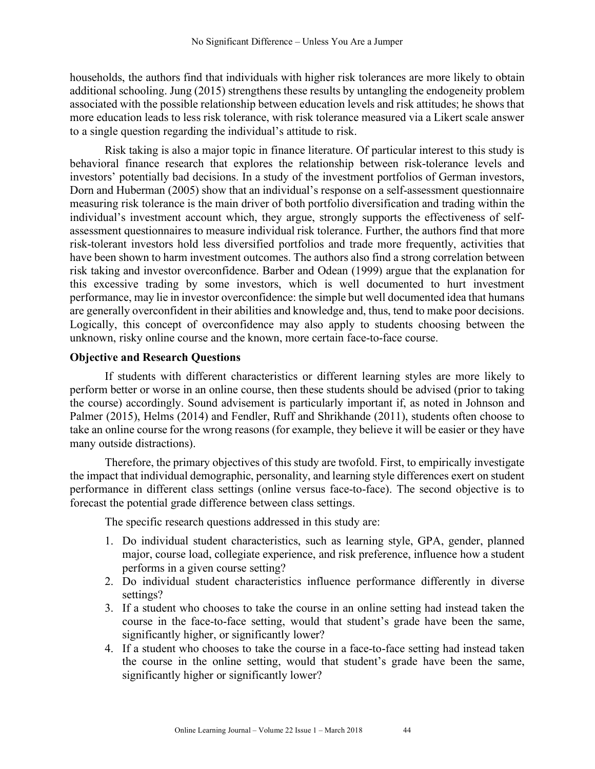households, the authors find that individuals with higher risk tolerances are more likely to obtain additional schooling. Jung (2015) strengthens these results by untangling the endogeneity problem associated with the possible relationship between education levels and risk attitudes; he shows that more education leads to less risk tolerance, with risk tolerance measured via a Likert scale answer to a single question regarding the individual's attitude to risk.

Risk taking is also a major topic in finance literature. Of particular interest to this study is behavioral finance research that explores the relationship between risk-tolerance levels and investors' potentially bad decisions. In a study of the investment portfolios of German investors, Dorn and Huberman (2005) show that an individual's response on a self-assessment questionnaire measuring risk tolerance is the main driver of both portfolio diversification and trading within the individual's investment account which, they argue, strongly supports the effectiveness of selfassessment questionnaires to measure individual risk tolerance. Further, the authors find that more risk-tolerant investors hold less diversified portfolios and trade more frequently, activities that have been shown to harm investment outcomes. The authors also find a strong correlation between risk taking and investor overconfidence. Barber and Odean (1999) argue that the explanation for this excessive trading by some investors, which is well documented to hurt investment performance, may lie in investor overconfidence: the simple but well documented idea that humans are generally overconfident in their abilities and knowledge and, thus, tend to make poor decisions. Logically, this concept of overconfidence may also apply to students choosing between the unknown, risky online course and the known, more certain face-to-face course.

# **Objective and Research Questions**

If students with different characteristics or different learning styles are more likely to perform better or worse in an online course, then these students should be advised (prior to taking the course) accordingly. Sound advisement is particularly important if, as noted in Johnson and Palmer (2015), Helms (2014) and Fendler, Ruff and Shrikhande (2011), students often choose to take an online course for the wrong reasons (for example, they believe it will be easier or they have many outside distractions).

Therefore, the primary objectives of this study are twofold. First, to empirically investigate the impact that individual demographic, personality, and learning style differences exert on student performance in different class settings (online versus face-to-face). The second objective is to forecast the potential grade difference between class settings.

The specific research questions addressed in this study are:

- 1. Do individual student characteristics, such as learning style, GPA, gender, planned major, course load, collegiate experience, and risk preference, influence how a student performs in a given course setting?
- 2. Do individual student characteristics influence performance differently in diverse settings?
- 3. If a student who chooses to take the course in an online setting had instead taken the course in the face-to-face setting, would that student's grade have been the same, significantly higher, or significantly lower?
- 4. If a student who chooses to take the course in a face-to-face setting had instead taken the course in the online setting, would that student's grade have been the same, significantly higher or significantly lower?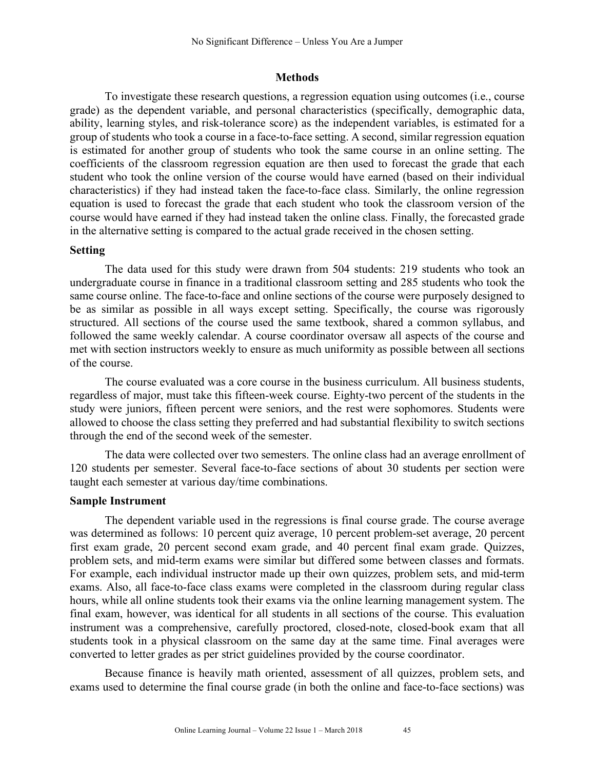### **Methods**

To investigate these research questions, a regression equation using outcomes (i.e., course grade) as the dependent variable, and personal characteristics (specifically, demographic data, ability, learning styles, and risk-tolerance score) as the independent variables, is estimated for a group of students who took a course in a face-to-face setting. A second, similar regression equation is estimated for another group of students who took the same course in an online setting. The coefficients of the classroom regression equation are then used to forecast the grade that each student who took the online version of the course would have earned (based on their individual characteristics) if they had instead taken the face-to-face class. Similarly, the online regression equation is used to forecast the grade that each student who took the classroom version of the course would have earned if they had instead taken the online class. Finally, the forecasted grade in the alternative setting is compared to the actual grade received in the chosen setting.

# **Setting**

The data used for this study were drawn from 504 students: 219 students who took an undergraduate course in finance in a traditional classroom setting and 285 students who took the same course online. The face-to-face and online sections of the course were purposely designed to be as similar as possible in all ways except setting. Specifically, the course was rigorously structured. All sections of the course used the same textbook, shared a common syllabus, and followed the same weekly calendar. A course coordinator oversaw all aspects of the course and met with section instructors weekly to ensure as much uniformity as possible between all sections of the course.

The course evaluated was a core course in the business curriculum. All business students, regardless of major, must take this fifteen-week course. Eighty-two percent of the students in the study were juniors, fifteen percent were seniors, and the rest were sophomores. Students were allowed to choose the class setting they preferred and had substantial flexibility to switch sections through the end of the second week of the semester.

The data were collected over two semesters. The online class had an average enrollment of 120 students per semester. Several face-to-face sections of about 30 students per section were taught each semester at various day/time combinations.

#### **Sample Instrument**

The dependent variable used in the regressions is final course grade. The course average was determined as follows: 10 percent quiz average, 10 percent problem-set average, 20 percent first exam grade, 20 percent second exam grade, and 40 percent final exam grade. Quizzes, problem sets, and mid-term exams were similar but differed some between classes and formats. For example, each individual instructor made up their own quizzes, problem sets, and mid-term exams. Also, all face-to-face class exams were completed in the classroom during regular class hours, while all online students took their exams via the online learning management system. The final exam, however, was identical for all students in all sections of the course. This evaluation instrument was a comprehensive, carefully proctored, closed-note, closed-book exam that all students took in a physical classroom on the same day at the same time. Final averages were converted to letter grades as per strict guidelines provided by the course coordinator.

Because finance is heavily math oriented, assessment of all quizzes, problem sets, and exams used to determine the final course grade (in both the online and face-to-face sections) was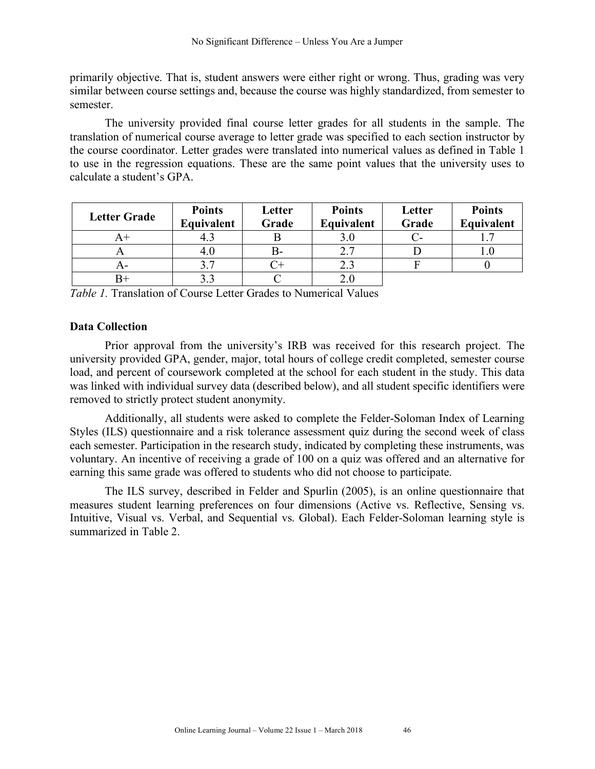primarily objective. That is, student answers were either right or wrong. Thus, grading was very similar between course settings and, because the course was highly standardized, from semester to semester.

The university provided final course letter grades for all students in the sample. The translation of numerical course average to letter grade was specified to each section instructor by the course coordinator. Letter grades were translated into numerical values as defined in Table 1 to use in the regression equations. These are the same point values that the university uses to calculate a student's GPA.

| <b>Letter Grade</b> | <b>Points</b><br>Equivalent | Letter<br>Grade | <b>Points</b><br>Equivalent | Letter<br>Grade | <b>Points</b><br>Equivalent |
|---------------------|-----------------------------|-----------------|-----------------------------|-----------------|-----------------------------|
| A+                  | 4.1                         |                 |                             |                 |                             |
|                     | 4.0                         | B-              | 2.7                         |                 |                             |
| A-                  |                             |                 | 2.3                         |                 |                             |
|                     |                             |                 |                             |                 |                             |

*Table 1.* Translation of Course Letter Grades to Numerical Values

# **Data Collection**

Prior approval from the university's IRB was received for this research project. The university provided GPA, gender, major, total hours of college credit completed, semester course load, and percent of coursework completed at the school for each student in the study. This data was linked with individual survey data (described below), and all student specific identifiers were removed to strictly protect student anonymity.

Additionally, all students were asked to complete the Felder-Soloman Index of Learning Styles (ILS) questionnaire and a risk tolerance assessment quiz during the second week of class each semester. Participation in the research study, indicated by completing these instruments, was voluntary. An incentive of receiving a grade of 100 on a quiz was offered and an alternative for earning this same grade was offered to students who did not choose to participate.

The ILS survey, described in Felder and Spurlin (2005), is an online questionnaire that measures student learning preferences on four dimensions (Active vs. Reflective, Sensing vs. Intuitive, Visual vs. Verbal, and Sequential vs. Global). Each Felder-Soloman learning style is summarized in Table 2.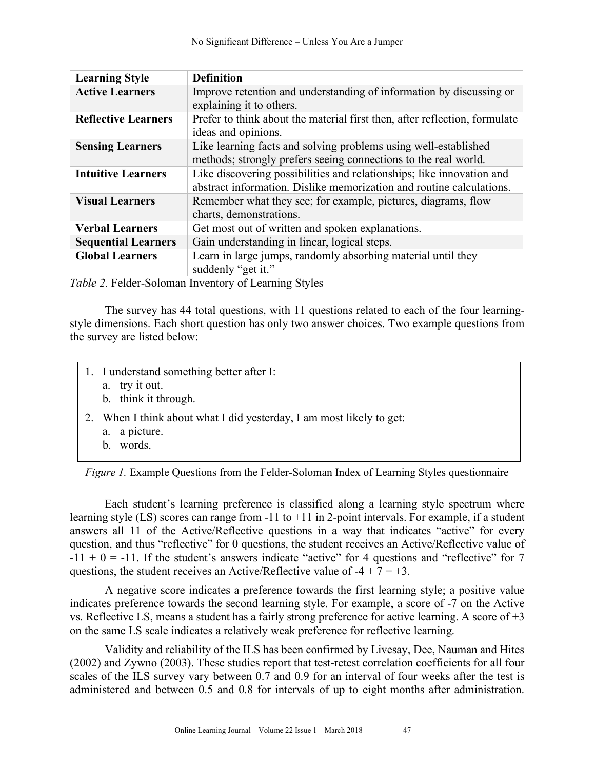| <b>Learning Style</b>      | <b>Definition</b>                                                                                                                             |
|----------------------------|-----------------------------------------------------------------------------------------------------------------------------------------------|
| <b>Active Learners</b>     | Improve retention and understanding of information by discussing or                                                                           |
|                            | explaining it to others.                                                                                                                      |
| <b>Reflective Learners</b> | Prefer to think about the material first then, after reflection, formulate<br>ideas and opinions.                                             |
| <b>Sensing Learners</b>    | Like learning facts and solving problems using well-established<br>methods; strongly prefers seeing connections to the real world.            |
| <b>Intuitive Learners</b>  | Like discovering possibilities and relationships; like innovation and<br>abstract information. Dislike memorization and routine calculations. |
| <b>Visual Learners</b>     | Remember what they see; for example, pictures, diagrams, flow<br>charts, demonstrations.                                                      |
| <b>Verbal Learners</b>     | Get most out of written and spoken explanations.                                                                                              |
| <b>Sequential Learners</b> | Gain understanding in linear, logical steps.                                                                                                  |
| <b>Global Learners</b>     | Learn in large jumps, randomly absorbing material until they                                                                                  |
|                            | suddenly "get it."                                                                                                                            |
|                            |                                                                                                                                               |

*Table 2.* Felder-Soloman Inventory of Learning Styles

The survey has 44 total questions, with 11 questions related to each of the four learningstyle dimensions. Each short question has only two answer choices. Two example questions from the survey are listed below:

- 1. I understand something better after I:
	- a. try it out.
	- b. think it through.
- 2. When I think about what I did yesterday, I am most likely to get:
	- a. a picture.
	- b. words.

|  |  |  |  |  |  |  |  |  | Figure 1. Example Questions from the Felder-Soloman Index of Learning Styles questionnaire |
|--|--|--|--|--|--|--|--|--|--------------------------------------------------------------------------------------------|
|--|--|--|--|--|--|--|--|--|--------------------------------------------------------------------------------------------|

Each student's learning preference is classified along a learning style spectrum where learning style (LS) scores can range from -11 to +11 in 2-point intervals. For example, if a student answers all 11 of the Active/Reflective questions in a way that indicates "active" for every question, and thus "reflective" for 0 questions, the student receives an Active/Reflective value of  $-11 + 0 = -11$ . If the student's answers indicate "active" for 4 questions and "reflective" for 7 questions, the student receives an Active/Reflective value of  $-4 + 7 = +3$ .

A negative score indicates a preference towards the first learning style; a positive value indicates preference towards the second learning style. For example, a score of -7 on the Active vs. Reflective LS, means a student has a fairly strong preference for active learning. A score of +3 on the same LS scale indicates a relatively weak preference for reflective learning.

Validity and reliability of the ILS has been confirmed by Livesay, Dee, Nauman and Hites (2002) and Zywno (2003). These studies report that test-retest correlation coefficients for all four scales of the ILS survey vary between 0.7 and 0.9 for an interval of four weeks after the test is administered and between 0.5 and 0.8 for intervals of up to eight months after administration.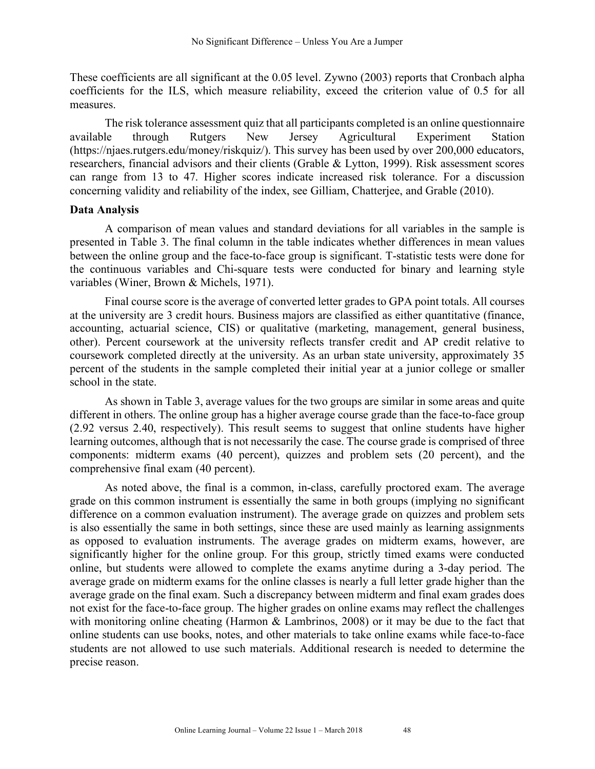These coefficients are all significant at the 0.05 level. Zywno (2003) reports that Cronbach alpha coefficients for the ILS, which measure reliability, exceed the criterion value of 0.5 for all measures.

The risk tolerance assessment quiz that all participants completed is an online questionnaire available through Rutgers New Jersey Agricultural Experiment Station (https://njaes.rutgers.edu/money/riskquiz/). This survey has been used by over 200,000 educators, researchers, financial advisors and their clients (Grable & Lytton, 1999). Risk assessment scores can range from 13 to 47. Higher scores indicate increased risk tolerance. For a discussion concerning validity and reliability of the index, see Gilliam, Chatterjee, and Grable (2010).

## **Data Analysis**

A comparison of mean values and standard deviations for all variables in the sample is presented in Table 3. The final column in the table indicates whether differences in mean values between the online group and the face-to-face group is significant. T-statistic tests were done for the continuous variables and Chi-square tests were conducted for binary and learning style variables (Winer, Brown & Michels, 1971).

Final course score is the average of converted letter grades to GPA point totals. All courses at the university are 3 credit hours. Business majors are classified as either quantitative (finance, accounting, actuarial science, CIS) or qualitative (marketing, management, general business, other). Percent coursework at the university reflects transfer credit and AP credit relative to coursework completed directly at the university. As an urban state university, approximately 35 percent of the students in the sample completed their initial year at a junior college or smaller school in the state.

As shown in Table 3, average values for the two groups are similar in some areas and quite different in others. The online group has a higher average course grade than the face-to-face group (2.92 versus 2.40, respectively). This result seems to suggest that online students have higher learning outcomes, although that is not necessarily the case. The course grade is comprised of three components: midterm exams (40 percent), quizzes and problem sets (20 percent), and the comprehensive final exam (40 percent).

As noted above, the final is a common, in-class, carefully proctored exam. The average grade on this common instrument is essentially the same in both groups (implying no significant difference on a common evaluation instrument). The average grade on quizzes and problem sets is also essentially the same in both settings, since these are used mainly as learning assignments as opposed to evaluation instruments. The average grades on midterm exams, however, are significantly higher for the online group. For this group, strictly timed exams were conducted online, but students were allowed to complete the exams anytime during a 3-day period. The average grade on midterm exams for the online classes is nearly a full letter grade higher than the average grade on the final exam. Such a discrepancy between midterm and final exam grades does not exist for the face-to-face group. The higher grades on online exams may reflect the challenges with monitoring online cheating (Harmon & Lambrinos, 2008) or it may be due to the fact that online students can use books, notes, and other materials to take online exams while face-to-face students are not allowed to use such materials. Additional research is needed to determine the precise reason.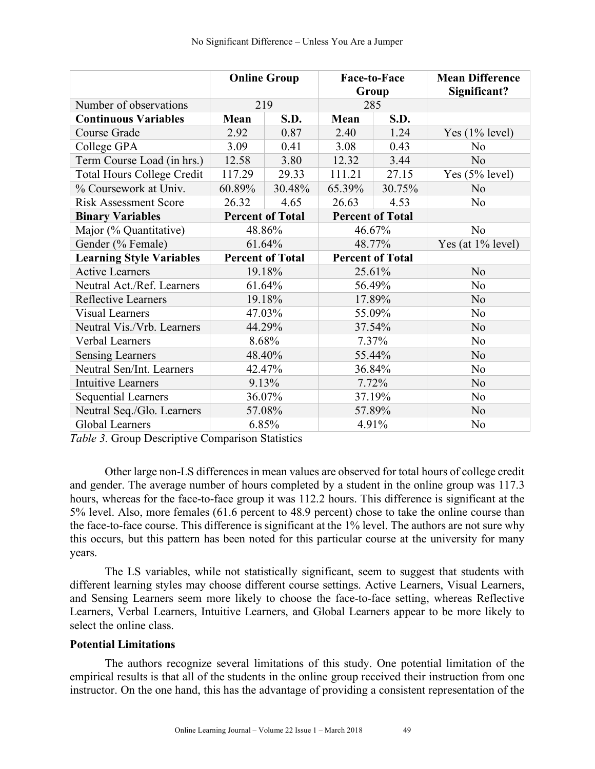|                                   | <b>Online Group</b>     |                         | Face-to-Face<br>Group   |        | <b>Mean Difference</b><br>Significant? |
|-----------------------------------|-------------------------|-------------------------|-------------------------|--------|----------------------------------------|
| Number of observations            | 219                     |                         | 285                     |        |                                        |
| <b>Continuous Variables</b>       | Mean                    | S.D.                    | Mean                    | S.D.   |                                        |
| Course Grade                      | 2.92                    | 0.87                    | 2.40                    | 1.24   | Yes $(1\%$ level)                      |
| College GPA                       | 3.09                    | 0.41                    | 3.08                    | 0.43   | N <sub>0</sub>                         |
| Term Course Load (in hrs.)        | 12.58                   | 3.80                    | 12.32                   | 3.44   | N <sub>o</sub>                         |
| <b>Total Hours College Credit</b> | 117.29                  | 29.33                   | 111.21                  | 27.15  | Yes $(5%$ level)                       |
| % Coursework at Univ.             | 60.89%                  | 30.48%                  | 65.39%                  | 30.75% | N <sub>0</sub>                         |
| <b>Risk Assessment Score</b>      | 26.32                   | 4.65                    | 26.63                   | 4.53   | N <sub>0</sub>                         |
| <b>Binary Variables</b>           |                         | <b>Percent of Total</b> | <b>Percent of Total</b> |        |                                        |
| Major (% Quantitative)            | 48.86%                  |                         | 46.67%                  |        | N <sub>o</sub>                         |
| Gender (% Female)                 | 61.64%                  |                         | 48.77%                  |        | Yes (at $1\%$ level)                   |
| <b>Learning Style Variables</b>   | <b>Percent of Total</b> |                         | <b>Percent of Total</b> |        |                                        |
| <b>Active Learners</b>            | 19.18%                  |                         | 25.61%                  |        | N <sub>0</sub>                         |
| Neutral Act./Ref. Learners        |                         | 61.64%                  | 56.49%                  |        | N <sub>0</sub>                         |
| Reflective Learners               |                         | 19.18%                  |                         | 17.89% | N <sub>0</sub>                         |
| <b>Visual Learners</b>            | 47.03%                  |                         | 55.09%                  |        | N <sub>0</sub>                         |
| Neutral Vis./Vrb. Learners        | 44.29%                  |                         | 37.54%                  |        | N <sub>0</sub>                         |
| Verbal Learners                   | 8.68%                   |                         | 7.37%                   |        | N <sub>0</sub>                         |
| <b>Sensing Learners</b>           | 48.40%                  |                         | 55.44%                  |        | N <sub>0</sub>                         |
| Neutral Sen/Int. Learners         | 42.47%                  |                         | 36.84%                  |        | N <sub>0</sub>                         |
| <b>Intuitive Learners</b>         | 9.13%                   |                         | 7.72%                   |        | N <sub>o</sub>                         |
| <b>Sequential Learners</b>        | 36.07%                  |                         | 37.19%                  |        | N <sub>0</sub>                         |
| Neutral Seq./Glo. Learners        | 57.08%                  |                         | 57.89%                  |        | N <sub>0</sub>                         |
| <b>Global Learners</b>            | 6.85%                   |                         | 4.91%                   |        | N <sub>0</sub>                         |

*Table 3.* Group Descriptive Comparison Statistics

Other large non-LS differences in mean values are observed for total hours of college credit and gender. The average number of hours completed by a student in the online group was 117.3 hours, whereas for the face-to-face group it was 112.2 hours. This difference is significant at the 5% level. Also, more females (61.6 percent to 48.9 percent) chose to take the online course than the face-to-face course. This difference is significant at the 1% level. The authors are not sure why this occurs, but this pattern has been noted for this particular course at the university for many years.

The LS variables, while not statistically significant, seem to suggest that students with different learning styles may choose different course settings. Active Learners, Visual Learners, and Sensing Learners seem more likely to choose the face-to-face setting, whereas Reflective Learners, Verbal Learners, Intuitive Learners, and Global Learners appear to be more likely to select the online class.

# **Potential Limitations**

The authors recognize several limitations of this study. One potential limitation of the empirical results is that all of the students in the online group received their instruction from one instructor. On the one hand, this has the advantage of providing a consistent representation of the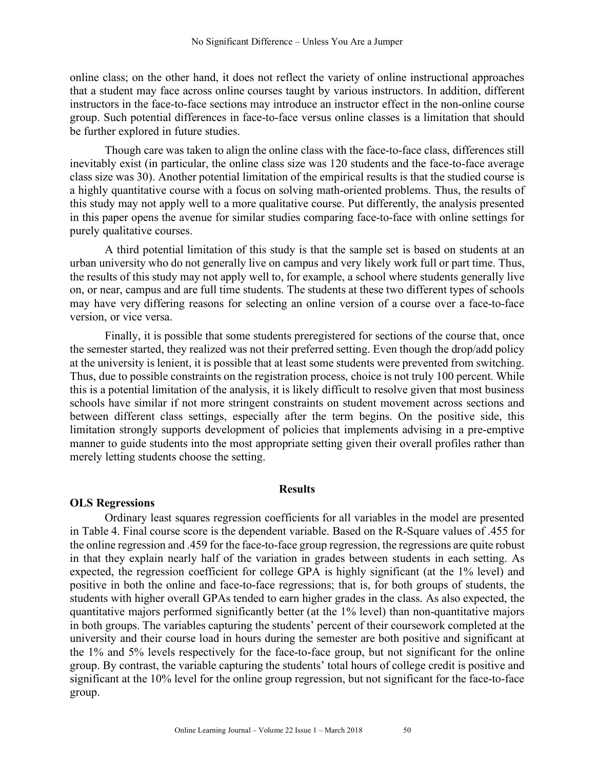online class; on the other hand, it does not reflect the variety of online instructional approaches that a student may face across online courses taught by various instructors. In addition, different instructors in the face-to-face sections may introduce an instructor effect in the non-online course group. Such potential differences in face-to-face versus online classes is a limitation that should be further explored in future studies.

Though care was taken to align the online class with the face-to-face class, differences still inevitably exist (in particular, the online class size was 120 students and the face-to-face average class size was 30). Another potential limitation of the empirical results is that the studied course is a highly quantitative course with a focus on solving math-oriented problems. Thus, the results of this study may not apply well to a more qualitative course. Put differently, the analysis presented in this paper opens the avenue for similar studies comparing face-to-face with online settings for purely qualitative courses.

A third potential limitation of this study is that the sample set is based on students at an urban university who do not generally live on campus and very likely work full or part time. Thus, the results of this study may not apply well to, for example, a school where students generally live on, or near, campus and are full time students. The students at these two different types of schools may have very differing reasons for selecting an online version of a course over a face-to-face version, or vice versa.

Finally, it is possible that some students preregistered for sections of the course that, once the semester started, they realized was not their preferred setting. Even though the drop/add policy at the university is lenient, it is possible that at least some students were prevented from switching. Thus, due to possible constraints on the registration process, choice is not truly 100 percent. While this is a potential limitation of the analysis, it is likely difficult to resolve given that most business schools have similar if not more stringent constraints on student movement across sections and between different class settings, especially after the term begins. On the positive side, this limitation strongly supports development of policies that implements advising in a pre-emptive manner to guide students into the most appropriate setting given their overall profiles rather than merely letting students choose the setting.

#### **Results**

## **OLS Regressions**

Ordinary least squares regression coefficients for all variables in the model are presented in Table 4. Final course score is the dependent variable. Based on the R-Square values of .455 for the online regression and .459 for the face-to-face group regression, the regressions are quite robust in that they explain nearly half of the variation in grades between students in each setting. As expected, the regression coefficient for college GPA is highly significant (at the 1% level) and positive in both the online and face-to-face regressions; that is, for both groups of students, the students with higher overall GPAs tended to earn higher grades in the class. As also expected, the quantitative majors performed significantly better (at the 1% level) than non-quantitative majors in both groups. The variables capturing the students' percent of their coursework completed at the university and their course load in hours during the semester are both positive and significant at the 1% and 5% levels respectively for the face-to-face group, but not significant for the online group. By contrast, the variable capturing the students' total hours of college credit is positive and significant at the 10% level for the online group regression, but not significant for the face-to-face group.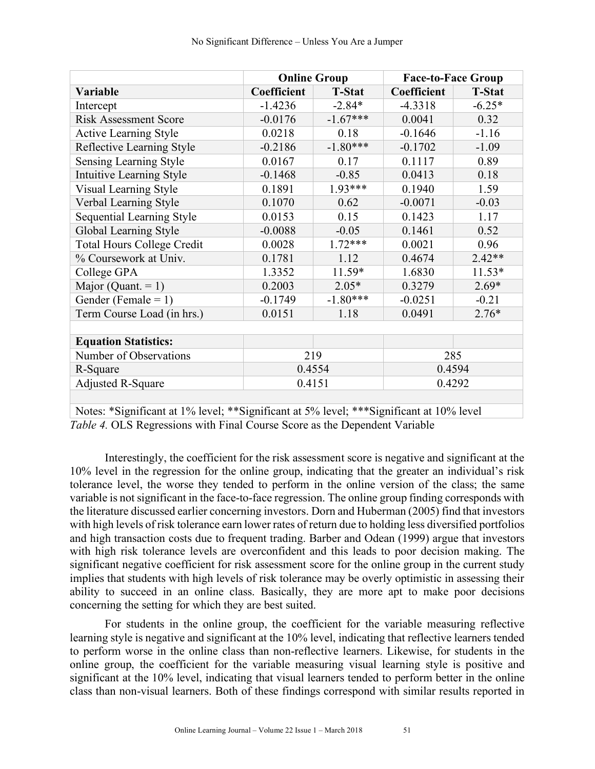|                                   | <b>Online Group</b> |               | <b>Face-to-Face Group</b> |               |  |
|-----------------------------------|---------------------|---------------|---------------------------|---------------|--|
| Variable                          | Coefficient         | <b>T-Stat</b> | Coefficient               | <b>T-Stat</b> |  |
| Intercept                         | $-1.4236$           | $-2.84*$      | $-4.3318$                 | $-6.25*$      |  |
| <b>Risk Assessment Score</b>      | $-0.0176$           | $-1.67***$    | 0.0041                    | 0.32          |  |
| <b>Active Learning Style</b>      | 0.0218              | 0.18          | $-0.1646$                 | $-1.16$       |  |
| Reflective Learning Style         | $-0.2186$           | $-1.80***$    | $-0.1702$                 | $-1.09$       |  |
| <b>Sensing Learning Style</b>     | 0.0167              | 0.17          | 0.1117                    | 0.89          |  |
| Intuitive Learning Style          | $-0.1468$           | $-0.85$       | 0.0413                    | 0.18          |  |
| <b>Visual Learning Style</b>      | 0.1891              | $1.93***$     | 0.1940                    | 1.59          |  |
| Verbal Learning Style             | 0.1070              | 0.62          | $-0.0071$                 | $-0.03$       |  |
| Sequential Learning Style         | 0.0153              | 0.15          | 0.1423                    | 1.17          |  |
| Global Learning Style             | $-0.0088$           | $-0.05$       | 0.1461                    | 0.52          |  |
| <b>Total Hours College Credit</b> | 0.0028              | $1.72***$     | 0.0021                    | 0.96          |  |
| % Coursework at Univ.             | 0.1781              | 1.12          | 0.4674                    | $2.42**$      |  |
| College GPA                       | 1.3352              | 11.59*        | 1.6830                    | $11.53*$      |  |
| Major (Quant. $= 1$ )             | 0.2003              | $2.05*$       | 0.3279                    | $2.69*$       |  |
| Gender (Female = $1$ )            | $-0.1749$           | $-1.80***$    | $-0.0251$                 | $-0.21$       |  |
| Term Course Load (in hrs.)        | 0.0151              | 1.18          | 0.0491                    | $2.76*$       |  |
|                                   |                     |               |                           |               |  |
| <b>Equation Statistics:</b>       |                     |               |                           |               |  |
| Number of Observations            | 219                 |               | 285                       |               |  |
| R-Square                          | 0.4554              |               | 0.4594                    |               |  |
| <b>Adjusted R-Square</b>          | 0.4151              |               | 0.4292                    |               |  |
|                                   |                     |               |                           |               |  |

Notes: \*Significant at 1% level; \*\*Significant at 5% level; \*\*\*Significant at 10% level *Table 4.* OLS Regressions with Final Course Score as the Dependent Variable

Interestingly, the coefficient for the risk assessment score is negative and significant at the 10% level in the regression for the online group, indicating that the greater an individual's risk tolerance level, the worse they tended to perform in the online version of the class; the same variable is not significant in the face-to-face regression. The online group finding corresponds with the literature discussed earlier concerning investors. Dorn and Huberman (2005) find that investors with high levels of risk tolerance earn lower rates of return due to holding less diversified portfolios and high transaction costs due to frequent trading. Barber and Odean (1999) argue that investors with high risk tolerance levels are overconfident and this leads to poor decision making. The significant negative coefficient for risk assessment score for the online group in the current study implies that students with high levels of risk tolerance may be overly optimistic in assessing their ability to succeed in an online class. Basically, they are more apt to make poor decisions concerning the setting for which they are best suited.

For students in the online group, the coefficient for the variable measuring reflective learning style is negative and significant at the 10% level, indicating that reflective learners tended to perform worse in the online class than non-reflective learners. Likewise, for students in the online group, the coefficient for the variable measuring visual learning style is positive and significant at the 10% level, indicating that visual learners tended to perform better in the online class than non-visual learners. Both of these findings correspond with similar results reported in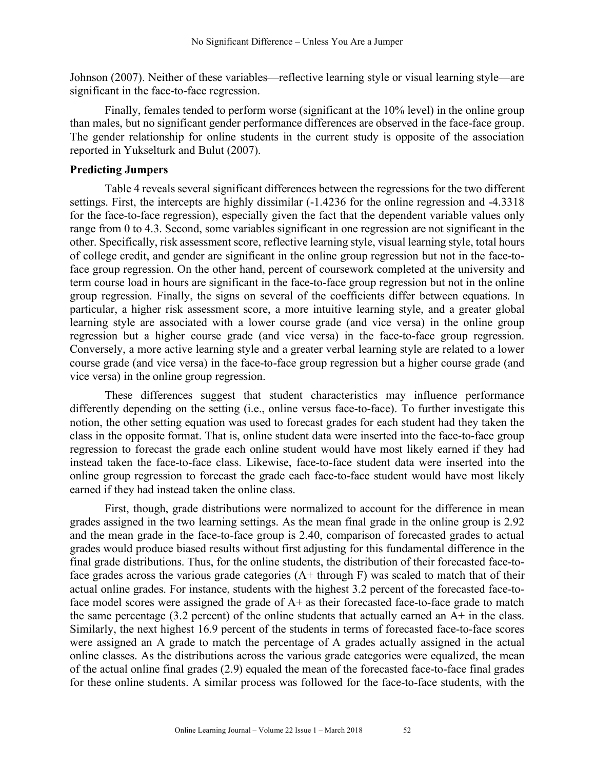Johnson (2007). Neither of these variables—reflective learning style or visual learning style—are significant in the face-to-face regression.

Finally, females tended to perform worse (significant at the 10% level) in the online group than males, but no significant gender performance differences are observed in the face-face group. The gender relationship for online students in the current study is opposite of the association reported in Yukselturk and Bulut (2007).

#### **Predicting Jumpers**

Table 4 reveals several significant differences between the regressions for the two different settings. First, the intercepts are highly dissimilar  $(-1.4236)$  for the online regression and  $-4.3318$ for the face-to-face regression), especially given the fact that the dependent variable values only range from 0 to 4.3. Second, some variables significant in one regression are not significant in the other. Specifically, risk assessment score, reflective learning style, visual learning style, total hours of college credit, and gender are significant in the online group regression but not in the face-toface group regression. On the other hand, percent of coursework completed at the university and term course load in hours are significant in the face-to-face group regression but not in the online group regression. Finally, the signs on several of the coefficients differ between equations. In particular, a higher risk assessment score, a more intuitive learning style, and a greater global learning style are associated with a lower course grade (and vice versa) in the online group regression but a higher course grade (and vice versa) in the face-to-face group regression. Conversely, a more active learning style and a greater verbal learning style are related to a lower course grade (and vice versa) in the face-to-face group regression but a higher course grade (and vice versa) in the online group regression.

These differences suggest that student characteristics may influence performance differently depending on the setting (i.e., online versus face-to-face). To further investigate this notion, the other setting equation was used to forecast grades for each student had they taken the class in the opposite format. That is, online student data were inserted into the face-to-face group regression to forecast the grade each online student would have most likely earned if they had instead taken the face-to-face class. Likewise, face-to-face student data were inserted into the online group regression to forecast the grade each face-to-face student would have most likely earned if they had instead taken the online class.

First, though, grade distributions were normalized to account for the difference in mean grades assigned in the two learning settings. As the mean final grade in the online group is 2.92 and the mean grade in the face-to-face group is 2.40, comparison of forecasted grades to actual grades would produce biased results without first adjusting for this fundamental difference in the final grade distributions. Thus, for the online students, the distribution of their forecasted face-toface grades across the various grade categories  $(A + throught)$  was scaled to match that of their actual online grades. For instance, students with the highest 3.2 percent of the forecasted face-toface model scores were assigned the grade of A+ as their forecasted face-to-face grade to match the same percentage  $(3.2 \text{ percent})$  of the online students that actually earned an A+ in the class. Similarly, the next highest 16.9 percent of the students in terms of forecasted face-to-face scores were assigned an A grade to match the percentage of A grades actually assigned in the actual online classes. As the distributions across the various grade categories were equalized, the mean of the actual online final grades (2.9) equaled the mean of the forecasted face-to-face final grades for these online students. A similar process was followed for the face-to-face students, with the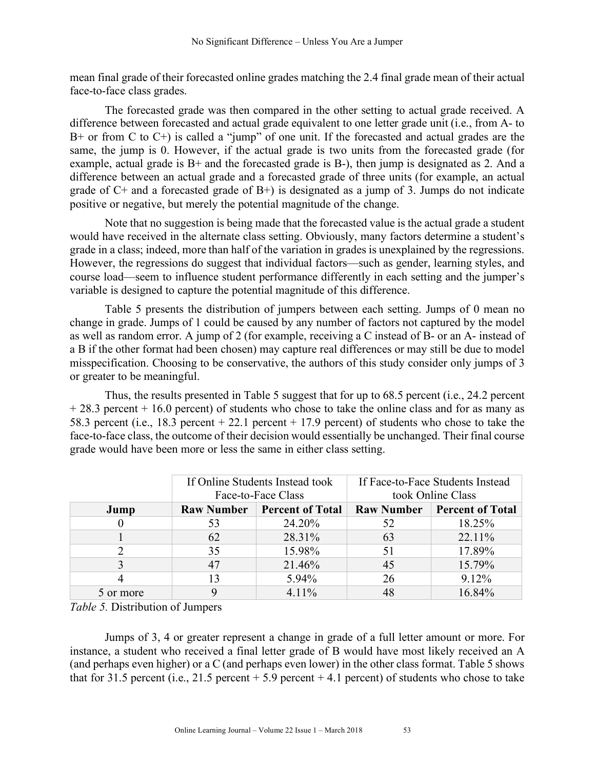mean final grade of their forecasted online grades matching the 2.4 final grade mean of their actual face-to-face class grades.

The forecasted grade was then compared in the other setting to actual grade received. A difference between forecasted and actual grade equivalent to one letter grade unit (i.e., from A- to B+ or from C to C+) is called a "jump" of one unit. If the forecasted and actual grades are the same, the jump is 0. However, if the actual grade is two units from the forecasted grade (for example, actual grade is B+ and the forecasted grade is B-), then jump is designated as 2. And a difference between an actual grade and a forecasted grade of three units (for example, an actual grade of  $C<sup>+</sup>$  and a forecasted grade of  $B<sup>+</sup>$ ) is designated as a jump of 3. Jumps do not indicate positive or negative, but merely the potential magnitude of the change.

Note that no suggestion is being made that the forecasted value is the actual grade a student would have received in the alternate class setting. Obviously, many factors determine a student's grade in a class; indeed, more than half of the variation in grades is unexplained by the regressions. However, the regressions do suggest that individual factors—such as gender, learning styles, and course load—seem to influence student performance differently in each setting and the jumper's variable is designed to capture the potential magnitude of this difference.

Table 5 presents the distribution of jumpers between each setting. Jumps of 0 mean no change in grade. Jumps of 1 could be caused by any number of factors not captured by the model as well as random error. A jump of 2 (for example, receiving a C instead of B- or an A- instead of a B if the other format had been chosen) may capture real differences or may still be due to model misspecification. Choosing to be conservative, the authors of this study consider only jumps of 3 or greater to be meaningful.

Thus, the results presented in Table 5 suggest that for up to 68.5 percent (i.e., 24.2 percent + 28.3 percent + 16.0 percent) of students who chose to take the online class and for as many as 58.3 percent (i.e., 18.3 percent + 22.1 percent + 17.9 percent) of students who chose to take the face-to-face class, the outcome of their decision would essentially be unchanged. Their final course grade would have been more or less the same in either class setting.

|           |    | If Online Students Instead took<br>Face-to-Face Class | If Face-to-Face Students Instead<br>took Online Class |                                      |  |
|-----------|----|-------------------------------------------------------|-------------------------------------------------------|--------------------------------------|--|
| Jump      |    | <b>Raw Number   Percent of Total</b>                  |                                                       | <b>Raw Number   Percent of Total</b> |  |
|           | 53 | 24.20%                                                | 52                                                    | 18.25%                               |  |
|           | 62 | 28.31%                                                | 63                                                    | 22.11%                               |  |
|           | 35 | 15.98%                                                | 51                                                    | 17.89%                               |  |
|           | 47 | 21.46%                                                | 45                                                    | 15.79%                               |  |
|           | 13 | 5.94%                                                 | 26                                                    | 9.12%                                |  |
| 5 or more |    | $4.11\%$                                              | 48                                                    | 16.84%                               |  |

*Table 5.* Distribution of Jumpers

Jumps of 3, 4 or greater represent a change in grade of a full letter amount or more. For instance, a student who received a final letter grade of B would have most likely received an A (and perhaps even higher) or a C (and perhaps even lower) in the other class format. Table 5 shows that for 31.5 percent (i.e., 21.5 percent  $+ 5.9$  percent  $+ 4.1$  percent) of students who chose to take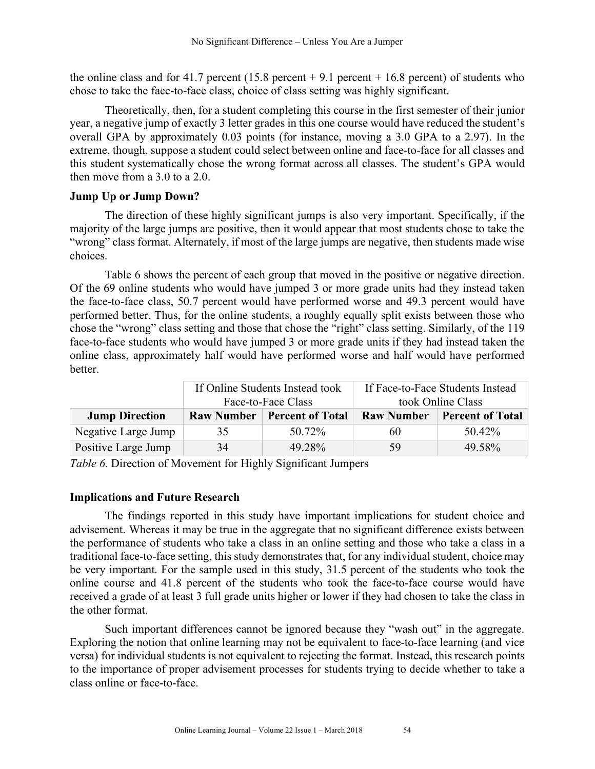the online class and for 41.7 percent (15.8 percent + 9.1 percent + 16.8 percent) of students who chose to take the face-to-face class, choice of class setting was highly significant.

Theoretically, then, for a student completing this course in the first semester of their junior year, a negative jump of exactly 3 letter grades in this one course would have reduced the student's overall GPA by approximately 0.03 points (for instance, moving a 3.0 GPA to a 2.97). In the extreme, though, suppose a student could select between online and face-to-face for all classes and this student systematically chose the wrong format across all classes. The student's GPA would then move from a 3.0 to a 2.0.

# **Jump Up or Jump Down?**

The direction of these highly significant jumps is also very important. Specifically, if the majority of the large jumps are positive, then it would appear that most students chose to take the "wrong" class format. Alternately, if most of the large jumps are negative, then students made wise choices.

Table 6 shows the percent of each group that moved in the positive or negative direction. Of the 69 online students who would have jumped 3 or more grade units had they instead taken the face-to-face class, 50.7 percent would have performed worse and 49.3 percent would have performed better. Thus, for the online students, a roughly equally split exists between those who chose the "wrong" class setting and those that chose the "right" class setting. Similarly, of the 119 face-to-face students who would have jumped 3 or more grade units if they had instead taken the online class, approximately half would have performed worse and half would have performed better.

|                       |                   | If Online Students Instead took | If Face-to-Face Students Instead |                         |  |
|-----------------------|-------------------|---------------------------------|----------------------------------|-------------------------|--|
|                       |                   | Face-to-Face Class              | took Online Class                |                         |  |
| <b>Jump Direction</b> | <b>Raw Number</b> | <b>Percent of Total</b>         | <b>Raw Number</b>                | <b>Percent of Total</b> |  |
| Negative Large Jump   | 35                | 50.72%                          | 60                               | 50.42%                  |  |
| Positive Large Jump   | 34                | 49.28%                          | 59                               | 49.58%                  |  |

*Table 6.* Direction of Movement for Highly Significant Jumpers

# **Implications and Future Research**

The findings reported in this study have important implications for student choice and advisement. Whereas it may be true in the aggregate that no significant difference exists between the performance of students who take a class in an online setting and those who take a class in a traditional face-to-face setting, this study demonstrates that, for any individual student, choice may be very important. For the sample used in this study, 31.5 percent of the students who took the online course and 41.8 percent of the students who took the face-to-face course would have received a grade of at least 3 full grade units higher or lower if they had chosen to take the class in the other format.

Such important differences cannot be ignored because they "wash out" in the aggregate. Exploring the notion that online learning may not be equivalent to face-to-face learning (and vice versa) for individual students is not equivalent to rejecting the format. Instead, this research points to the importance of proper advisement processes for students trying to decide whether to take a class online or face-to-face.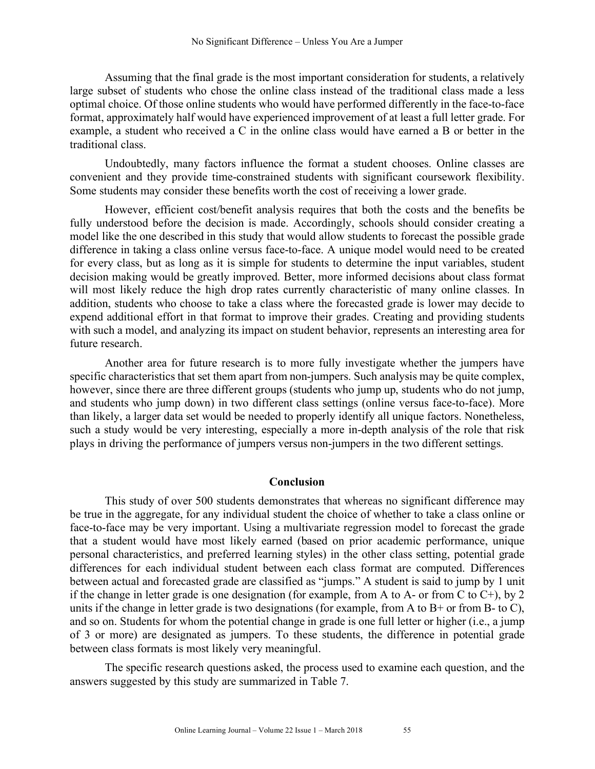Assuming that the final grade is the most important consideration for students, a relatively large subset of students who chose the online class instead of the traditional class made a less optimal choice. Of those online students who would have performed differently in the face-to-face format, approximately half would have experienced improvement of at least a full letter grade. For example, a student who received a C in the online class would have earned a B or better in the traditional class.

Undoubtedly, many factors influence the format a student chooses. Online classes are convenient and they provide time-constrained students with significant coursework flexibility. Some students may consider these benefits worth the cost of receiving a lower grade.

However, efficient cost/benefit analysis requires that both the costs and the benefits be fully understood before the decision is made. Accordingly, schools should consider creating a model like the one described in this study that would allow students to forecast the possible grade difference in taking a class online versus face-to-face. A unique model would need to be created for every class, but as long as it is simple for students to determine the input variables, student decision making would be greatly improved. Better, more informed decisions about class format will most likely reduce the high drop rates currently characteristic of many online classes. In addition, students who choose to take a class where the forecasted grade is lower may decide to expend additional effort in that format to improve their grades. Creating and providing students with such a model, and analyzing its impact on student behavior, represents an interesting area for future research.

Another area for future research is to more fully investigate whether the jumpers have specific characteristics that set them apart from non-jumpers. Such analysis may be quite complex, however, since there are three different groups (students who jump up, students who do not jump, and students who jump down) in two different class settings (online versus face-to-face). More than likely, a larger data set would be needed to properly identify all unique factors. Nonetheless, such a study would be very interesting, especially a more in-depth analysis of the role that risk plays in driving the performance of jumpers versus non-jumpers in the two different settings.

#### **Conclusion**

This study of over 500 students demonstrates that whereas no significant difference may be true in the aggregate, for any individual student the choice of whether to take a class online or face-to-face may be very important. Using a multivariate regression model to forecast the grade that a student would have most likely earned (based on prior academic performance, unique personal characteristics, and preferred learning styles) in the other class setting, potential grade differences for each individual student between each class format are computed. Differences between actual and forecasted grade are classified as "jumps." A student is said to jump by 1 unit if the change in letter grade is one designation (for example, from A to A- or from C to  $C<sup>+</sup>$ ), by 2 units if the change in letter grade is two designations (for example, from A to B+ or from B- to C), and so on. Students for whom the potential change in grade is one full letter or higher (i.e., a jump of 3 or more) are designated as jumpers. To these students, the difference in potential grade between class formats is most likely very meaningful.

The specific research questions asked, the process used to examine each question, and the answers suggested by this study are summarized in Table 7.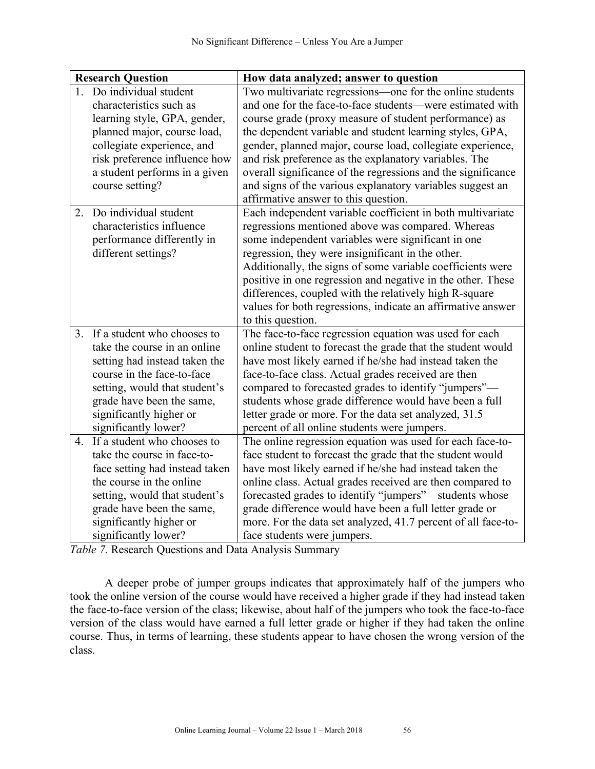|                | <b>Research Question</b>                                                                                                                                                                                                                    | How data analyzed; answer to question                                                                                                                                                                                                                                                                                                                                                                                                                                                                                                   |
|----------------|---------------------------------------------------------------------------------------------------------------------------------------------------------------------------------------------------------------------------------------------|-----------------------------------------------------------------------------------------------------------------------------------------------------------------------------------------------------------------------------------------------------------------------------------------------------------------------------------------------------------------------------------------------------------------------------------------------------------------------------------------------------------------------------------------|
|                | Do individual student<br>characteristics such as<br>learning style, GPA, gender,<br>planned major, course load,<br>collegiate experience, and<br>risk preference influence how<br>a student performs in a given<br>course setting?          | Two multivariate regressions—one for the online students<br>and one for the face-to-face students-were estimated with<br>course grade (proxy measure of student performance) as<br>the dependent variable and student learning styles, GPA,<br>gender, planned major, course load, collegiate experience,<br>and risk preference as the explanatory variables. The<br>overall significance of the regressions and the significance<br>and signs of the various explanatory variables suggest an<br>affirmative answer to this question. |
| 2.             | Do individual student<br>characteristics influence<br>performance differently in<br>different settings?                                                                                                                                     | Each independent variable coefficient in both multivariate<br>regressions mentioned above was compared. Whereas<br>some independent variables were significant in one<br>regression, they were insignificant in the other.<br>Additionally, the signs of some variable coefficients were<br>positive in one regression and negative in the other. These<br>differences, coupled with the relatively high R-square<br>values for both regressions, indicate an affirmative answer<br>to this question.                                   |
| 3 <sub>1</sub> | If a student who chooses to<br>take the course in an online<br>setting had instead taken the<br>course in the face-to-face<br>setting, would that student's<br>grade have been the same,<br>significantly higher or<br>significantly lower? | The face-to-face regression equation was used for each<br>online student to forecast the grade that the student would<br>have most likely earned if he/she had instead taken the<br>face-to-face class. Actual grades received are then<br>compared to forecasted grades to identify "jumpers"-<br>students whose grade difference would have been a full<br>letter grade or more. For the data set analyzed, 31.5<br>percent of all online students were jumpers.                                                                      |
| 4.             | If a student who chooses to<br>take the course in face-to-<br>face setting had instead taken<br>the course in the online<br>setting, would that student's<br>grade have been the same,<br>significantly higher or<br>significantly lower?   | The online regression equation was used for each face-to-<br>face student to forecast the grade that the student would<br>have most likely earned if he/she had instead taken the<br>online class. Actual grades received are then compared to<br>forecasted grades to identify "jumpers"—students whose<br>grade difference would have been a full letter grade or<br>more. For the data set analyzed, 41.7 percent of all face-to-<br>face students were jumpers.                                                                     |

*Table 7.* Research Questions and Data Analysis Summary

A deeper probe of jumper groups indicates that approximately half of the jumpers who took the online version of the course would have received a higher grade if they had instead taken the face-to-face version of the class; likewise, about half of the jumpers who took the face-to-face version of the class would have earned a full letter grade or higher if they had taken the online course. Thus, in terms of learning, these students appear to have chosen the wrong version of the class.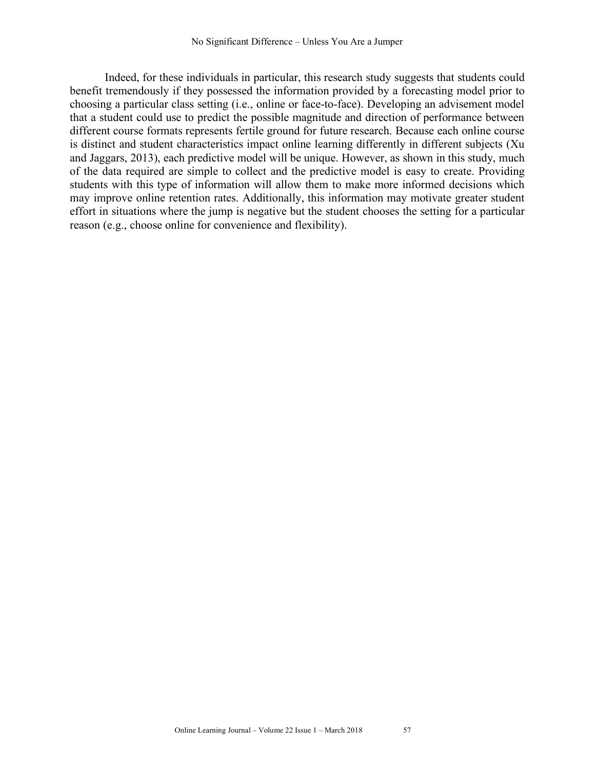Indeed, for these individuals in particular, this research study suggests that students could benefit tremendously if they possessed the information provided by a forecasting model prior to choosing a particular class setting (i.e., online or face-to-face). Developing an advisement model that a student could use to predict the possible magnitude and direction of performance between different course formats represents fertile ground for future research. Because each online course is distinct and student characteristics impact online learning differently in different subjects (Xu and Jaggars, 2013), each predictive model will be unique. However, as shown in this study, much of the data required are simple to collect and the predictive model is easy to create. Providing students with this type of information will allow them to make more informed decisions which may improve online retention rates. Additionally, this information may motivate greater student effort in situations where the jump is negative but the student chooses the setting for a particular reason (e.g., choose online for convenience and flexibility).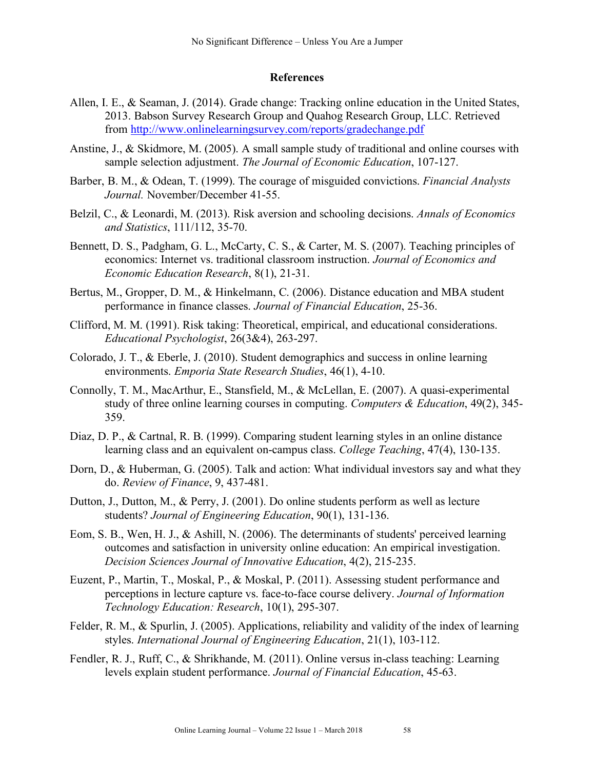# **References**

- Allen, I. E., & Seaman, J. (2014). Grade change: Tracking online education in the United States, 2013. Babson Survey Research Group and Quahog Research Group, LLC. Retrieved from http://www.onlinelearningsurvey.com/reports/gradechange.pdf
- Anstine, J., & Skidmore, M. (2005). A small sample study of traditional and online courses with sample selection adjustment. *The Journal of Economic Education*, 107-127.
- Barber, B. M., & Odean, T. (1999). The courage of misguided convictions. *Financial Analysts Journal.* November/December 41-55.
- Belzil, C., & Leonardi, M. (2013). Risk aversion and schooling decisions. *Annals of Economics and Statistics*, 111/112, 35-70.
- Bennett, D. S., Padgham, G. L., McCarty, C. S., & Carter, M. S. (2007). Teaching principles of economics: Internet vs. traditional classroom instruction. *Journal of Economics and Economic Education Research*, 8(1), 21-31.
- Bertus, M., Gropper, D. M., & Hinkelmann, C. (2006). Distance education and MBA student performance in finance classes. *Journal of Financial Education*, 25-36.
- Clifford, M. M. (1991). Risk taking: Theoretical, empirical, and educational considerations. *Educational Psychologist*, 26(3&4), 263-297.
- Colorado, J. T., & Eberle, J. (2010). Student demographics and success in online learning environments. *Emporia State Research Studies*, 46(1), 4-10.
- Connolly, T. M., MacArthur, E., Stansfield, M., & McLellan, E. (2007). A quasi-experimental study of three online learning courses in computing. *Computers & Education*, 49(2), 345- 359.
- Diaz, D. P., & Cartnal, R. B. (1999). Comparing student learning styles in an online distance learning class and an equivalent on-campus class. *College Teaching*, 47(4), 130-135.
- Dorn, D., & Huberman, G. (2005). Talk and action: What individual investors say and what they do. *Review of Finance*, 9, 437-481.
- Dutton, J., Dutton, M., & Perry, J. (2001). Do online students perform as well as lecture students? *Journal of Engineering Education*, 90(1), 131-136.
- Eom, S. B., Wen, H. J., & Ashill, N. (2006). The determinants of students' perceived learning outcomes and satisfaction in university online education: An empirical investigation. *Decision Sciences Journal of Innovative Education*, 4(2), 215-235.
- Euzent, P., Martin, T., Moskal, P., & Moskal, P. (2011). Assessing student performance and perceptions in lecture capture vs. face-to-face course delivery. *Journal of Information Technology Education: Research*, 10(1), 295-307.
- Felder, R. M., & Spurlin, J. (2005). Applications, reliability and validity of the index of learning styles. *International Journal of Engineering Education*, 21(1), 103-112.
- Fendler, R. J., Ruff, C., & Shrikhande, M. (2011). Online versus in-class teaching: Learning levels explain student performance. *Journal of Financial Education*, 45-63.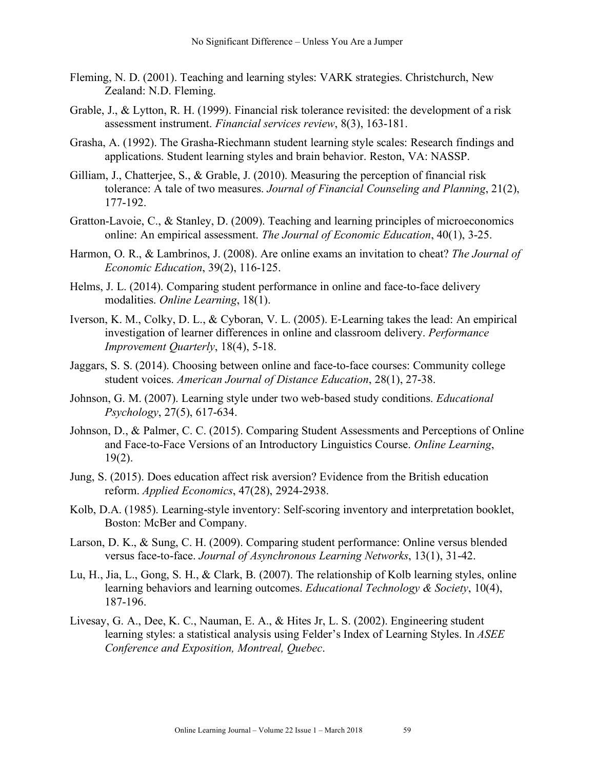- Fleming, N. D. (2001). Teaching and learning styles: VARK strategies. Christchurch, New Zealand: N.D. Fleming.
- Grable, J., & Lytton, R. H. (1999). Financial risk tolerance revisited: the development of a risk assessment instrument. *Financial services review*, 8(3), 163-181.
- Grasha, A. (1992). The Grasha-Riechmann student learning style scales: Research findings and applications. Student learning styles and brain behavior. Reston, VA: NASSP.
- Gilliam, J., Chatterjee, S., & Grable, J. (2010). Measuring the perception of financial risk tolerance: A tale of two measures. *Journal of Financial Counseling and Planning*, 21(2), 177-192.
- Gratton-Lavoie, C., & Stanley, D. (2009). Teaching and learning principles of microeconomics online: An empirical assessment. *The Journal of Economic Education*, 40(1), 3-25.
- Harmon, O. R., & Lambrinos, J. (2008). Are online exams an invitation to cheat? *The Journal of Economic Education*, 39(2), 116-125.
- Helms, J. L. (2014). Comparing student performance in online and face-to-face delivery modalities. *Online Learning*, 18(1).
- Iverson, K. M., Colky, D. L., & Cyboran, V. L. (2005). E-Learning takes the lead: An empirical investigation of learner differences in online and classroom delivery. *Performance Improvement Quarterly*, 18(4), 5-18.
- Jaggars, S. S. (2014). Choosing between online and face-to-face courses: Community college student voices. *American Journal of Distance Education*, 28(1), 27-38.
- Johnson, G. M. (2007). Learning style under two web-based study conditions. *Educational Psychology*, 27(5), 617-634.
- Johnson, D., & Palmer, C. C. (2015). Comparing Student Assessments and Perceptions of Online and Face-to-Face Versions of an Introductory Linguistics Course. *Online Learning*, 19(2).
- Jung, S. (2015). Does education affect risk aversion? Evidence from the British education reform. *Applied Economics*, 47(28), 2924-2938.
- Kolb, D.A. (1985). Learning-style inventory: Self-scoring inventory and interpretation booklet, Boston: McBer and Company.
- Larson, D. K., & Sung, C. H. (2009). Comparing student performance: Online versus blended versus face-to-face. *Journal of Asynchronous Learning Networks*, 13(1), 31-42.
- Lu, H., Jia, L., Gong, S. H., & Clark, B. (2007). The relationship of Kolb learning styles, online learning behaviors and learning outcomes. *Educational Technology & Society*, 10(4), 187-196.
- Livesay, G. A., Dee, K. C., Nauman, E. A., & Hites Jr, L. S. (2002). Engineering student learning styles: a statistical analysis using Felder's Index of Learning Styles. In *ASEE Conference and Exposition, Montreal, Quebec*.